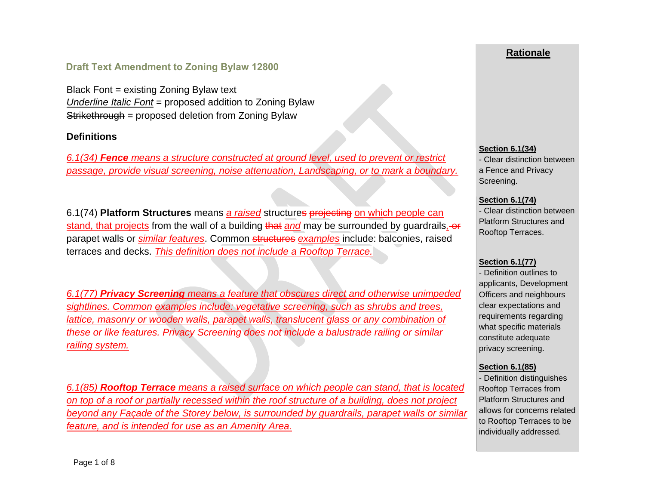## **Draft Text Amendment to Zoning Bylaw 12800**

Black Font = existing Zoning Bylaw text *Underline Italic Font* = proposed addition to Zoning Bylaw Strikethrough = proposed deletion from Zoning Bylaw

### **Definitions**

*6.1(34) Fence means a structure constructed at ground level, used to prevent or restrict passage, provide visual screening, noise attenuation, Landscaping, or to mark a boundary.* 

6.1(74) **Platform Structures** means *a raised* structures projecting on which people can stand, that projects from the wall of a building that *and* may be surrounded by guardrails*,* or parapet walls or *similar features*. Common structures *examples* include: balconies, raised terraces and decks. *This definition does not include a Rooftop Terrace.*

*6.1(77) Privacy Screening means a feature that obscures direct and otherwise unimpeded sightlines. Common examples include: vegetative screening, such as shrubs and trees, lattice, masonry or wooden walls, parapet walls, translucent glass or any combination of these or like features. Privacy Screening does not include a balustrade railing or similar railing system.* 

*6.1(85) Rooftop Terrace means a raised surface on which people can stand, that is located on top of a roof or partially recessed within the roof structure of a building, does not project beyond any Façade of the Storey below, is surrounded by guardrails, parapet walls or similar feature, and is intended for use as an Amenity Area.*

## **Rationale**

#### **Section 6.1(34)**

- Clear distinction between a Fence and Privacy Screening.

### **Section 6.1(74)**

- Clear distinction between Platform Structures and Rooftop Terraces.

### **Section 6.1(77)**

- Definition outlines to applicants, Development Officers and neighbours clear expectations and requirements regarding what specific materials constitute adequate privacy screening.

### **Section 6.1(85)**

- Definition distinguishes Rooftop Terraces from Platform Structures and allows for concerns related to Rooftop Terraces to be individually addressed.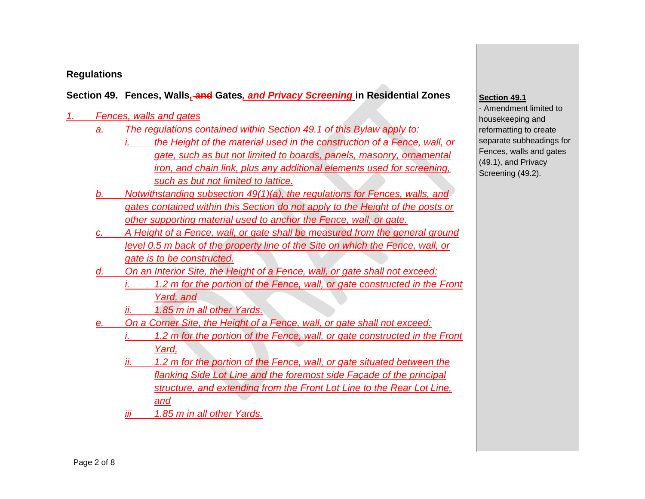# **Regulations**

# **Section 49. Fences, Walls***,* **and Gates***, and Privacy Screening* **in Residential Zones**

## *1. Fences, walls and gates*

- *a. The regulations contained within Section 49.1 of this Bylaw apply to:*
	- *the Height of the material used in the construction of a Fence, wall, or gate, such as but not limited to boards, panels, masonry, ornamental iron, and chain link, plus any additional elements used for screening, such as but not limited to lattice.*
- *b. Notwithstanding subsection 49(1)(a), the regulations for Fences, walls, and gates contained within this Section do not apply to the Height of the posts or other supporting material used to anchor the Fence, wall, or gate.*
- *c. A Height of a Fence, wall, or gate shall be measured from the general ground level 0.5 m back of the property line of the Site on which the Fence, wall, or gate is to be constructed.*
- *d. On an Interior Site, the Height of a Fence, wall, or gate shall not exceed:*  1.2 m for the portion of the Fence, wall, or gate constructed in the Front *Yard, and* 
	- *ii. 1.85 m in all other Yards.*
- *e. On a Corner Site, the Height of a Fence, wall, or gate shall not exceed:* 
	- *i.* 1.2 m for the portion of the Fence, wall, or gate constructed in the Front *Yard,*
	- 1.2 m for the portion of the Fence, wall, or gate situated between the *flanking Side Lot Line and the foremost side Façade of the principal structure, and extending from the Front Lot Line to the Rear Lot Line, and*
	- *iii 1.85 m in all other Yards.*

### **Section 49.1**

- Amendment limited to housekeeping and reformatting to create separate subheadings for Fences, walls and gates (49.1), and Privacy Screening (49.2).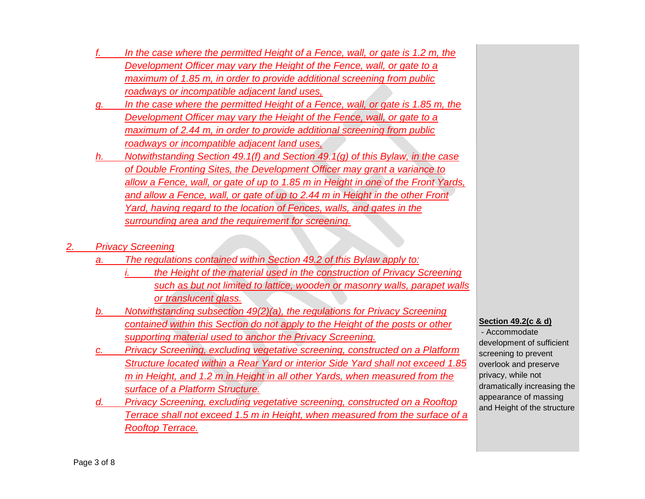- *f. In the case where the permitted Height of a Fence, wall, or gate is 1.2 m, the Development Officer may vary the Height of the Fence, wall, or gate to a maximum of 1.85 m, in order to provide additional screening from public roadways or incompatible adjacent land uses,*
- In the case where the permitted Height of a Fence, wall, or gate is 1.85 m, the *Development Officer may vary the Height of the Fence, wall, or gate to a maximum of 2.44 m, in order to provide additional screening from public roadways or incompatible adjacent land uses,*
- *h. Notwithstanding Section 49.1(f) and Section 49.1(g) of this Bylaw, in the case of Double Fronting Sites, the Development Officer may grant a variance to allow a Fence, wall, or gate of up to 1.85 m in Height in one of the Front Yards, and allow a Fence, wall, or gate of up to 2.44 m in Height in the other Front Yard, having regard to the location of Fences, walls, and gates in the surrounding area and the requirement for screening.*

## *2. Privacy Screening*

- *a. The regulations contained within Section 49.2 of this Bylaw apply to:*
	- *the Height of the material used in the construction of Privacy Screening such as but not limited to lattice, wooden or masonry walls, parapet walls or translucent glass.*
- *b. Notwithstanding subsection 49(2)(a), the regulations for Privacy Screening contained within this Section do not apply to the Height of the posts or other supporting material used to anchor the Privacy Screening.*
- **Privacy Screening, excluding vegetative screening, constructed on a Platform** *Structure located within a Rear Yard or interior Side Yard shall not exceed 1.85 m in Height, and 1.2 m in Height in all other Yards, when measured from the surface of a Platform Structure.*
- *d. Privacy Screening, excluding vegetative screening, constructed on a Rooftop Terrace shall not exceed 1.5 m in Height, when measured from the surface of a Rooftop Terrace.*

### **Section 49.2(c & d)**

- Accommodate development of sufficient screening to prevent overlook and preserve privacy, while not dramatically increasing the appearance of massing and Height of the structure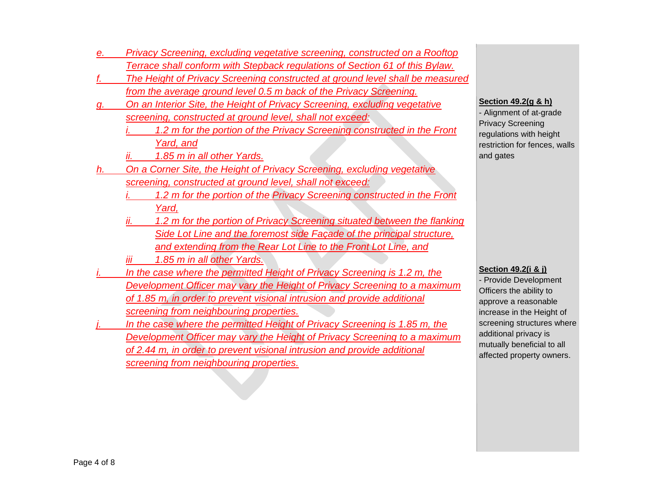- *e. Privacy Screening, excluding vegetative screening, constructed on a Rooftop Terrace shall conform with Stepback regulations of Section 61 of this Bylaw.*
- *f. The Height of Privacy Screening constructed at ground level shall be measured from the average ground level 0.5 m back of the Privacy Screening.*
- *g. On an Interior Site, the Height of Privacy Screening, excluding vegetative screening, constructed at ground level, shall not exceed:* 
	- *i. 1.2 m for the portion of the Privacy Screening constructed in the Front Yard, and*
	- *ii. 1.85 m in all other Yards.*
- *h. On a Corner Site, the Height of Privacy Screening, excluding vegetative screening, constructed at ground level, shall not exceed:* 
	- *i. 1.2 m for the portion of the Privacy Screening constructed in the Front Yard,*
	- *ii. 1.2 m for the portion of Privacy Screening situated between the flanking Side Lot Line and the foremost side Façade of the principal structure, and extending from the Rear Lot Line to the Front Lot Line, and*
	- *iii 1.85 m in all other Yards.*
- In the case where the permitted Height of Privacy Screening is 1.2 m, the *Development Officer may vary the Height of Privacy Screening to a maximum of 1.85 m, in order to prevent visional intrusion and provide additional screening from neighbouring properties.*
- In the case where the permitted Height of Privacy Screening is 1.85 m, the *Development Officer may vary the Height of Privacy Screening to a maximum of 2.44 m, in order to prevent visional intrusion and provide additional screening from neighbouring properties.*

#### **Section 49.2(g & h)**

- Alignment of at-grade Privacy Screening regulations with height restriction for fences, walls and gates

#### **Section 49.2(i & j)**

- Provide Development Officers the ability to approve a reasonable increase in the Height of screening structures where additional privacy is mutually beneficial to all affected property owners.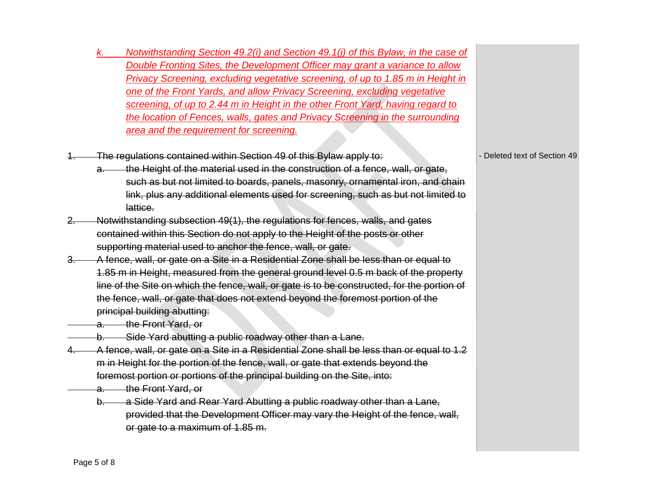- *k. Notwithstanding Section 49.2(i) and Section 49.1(j) of this Bylaw, in the case of Double Fronting Sites, the Development Officer may grant a variance to allow Privacy Screening, excluding vegetative screening, of up to 1.85 m in Height in one of the Front Yards, and allow Privacy Screening, excluding vegetative screening, of up to 2.44 m in Height in the other Front Yard, having regard to the location of Fences, walls, gates and Privacy Screening in the surrounding area and the requirement for screening.*
- The regulations contained within Section 49 of this Bylaw apply to:
	- a. the Height of the material used in the construction of a fence, wall, or gate, such as but not limited to boards, panels, masonry, ornamental iron, and chain link, plus any additional elements used for screening, such as but not limited to lattice.
- 2. Notwithstanding subsection 49(1), the regulations for fences, walls, and gates contained within this Section do not apply to the Height of the posts or other supporting material used to anchor the fence, wall, or gate.
- 3. A fence, wall, or gate on a Site in a Residential Zone shall be less than or equal to 1.85 m in Height, measured from the general ground level 0.5 m back of the property line of the Site on which the fence, wall, or gate is to be constructed, for the portion of the fence, wall, or gate that does not extend beyond the foremost portion of the principal building abutting:

a. the Front Yard, or

- b. Side Yard abutting a public roadway other than a Lane.
- 4. A fence, wall, or gate on a Site in a Residential Zone shall be less than or equal to 1.2 m in Height for the portion of the fence, wall, or gate that extends beyond the foremost portion or portions of the principal building on the Site, into:
	- a. the Front Yard, or
	- b. a Side Yard and Rear Yard Abutting a public roadway other than a Lane, provided that the Development Officer may vary the Height of the fence, wall, or gate to a maximum of 1.85 m.

- Deleted text of Section 49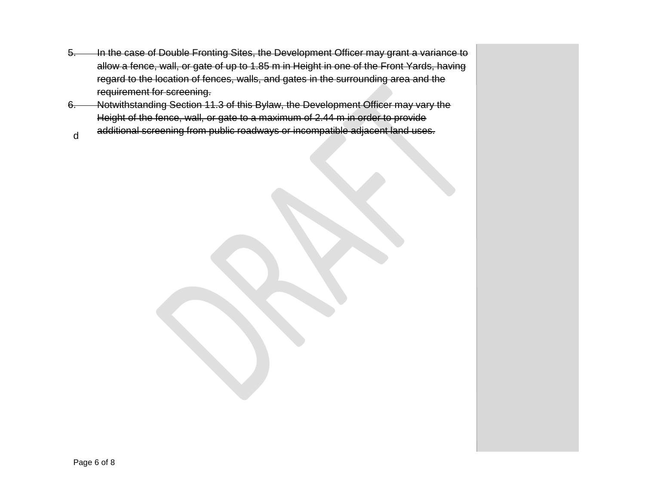- 5. In the case of Double Fronting Sites, the Development Officer may grant a variance to allow a fence, wall, or gate of up to 1.85 m in Height in one of the Front Yards, having regard to the location of fences, walls, and gates in the surrounding area and the requirement for screening.
- 6. Notwithstanding Section 11.3 of this Bylaw, the Development Officer may vary the Height of the fence, wall, or gate to a maximum of 2.44 m in order to provide additional screening from public roadways or incompatible adjacent land uses.
- d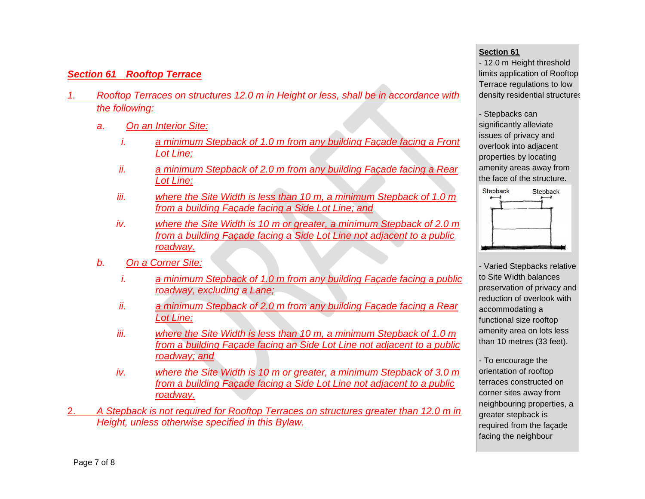# *Section 61 Rooftop Terrace*

- *1. Rooftop Terraces on structures 12.0 m in Height or less, shall be in accordance with the following:*
	- *a. On an Interior Site:*
		- *i. a minimum Stepback of 1.0 m from any building Façade facing a Front Lot Line;*
		- *ii. a minimum Stepback of 2.0 m from any building Façade facing a Rear Lot Line;*
		- *iii. where the Site Width is less than 10 m, a minimum Stepback of 1.0 m from a building Façade facing a Side Lot Line; and*
		- *iv. where the Site Width is 10 m or greater, a minimum Stepback of 2.0 m from a building Façade facing a Side Lot Line not adjacent to a public roadway.*
	- *b. On a Corner Site:*
		- *i. a minimum Stepback of 1.0 m from any building Façade facing a public roadway, excluding a Lane;*
		- *ii. a minimum Stepback of 2.0 m from any building Façade facing a Rear Lot Line;*
		- *iii. where the Site Width is less than 10 m, a minimum Stepback of 1.0 m from a building Façade facing an Side Lot Line not adjacent to a public roadway; and*
		- *iv. where the Site Width is 10 m or greater, a minimum Stepback of 3.0 m from a building Façade facing a Side Lot Line not adjacent to a public roadway.*
- 2. *A Stepback is not required for Rooftop Terraces on structures greater than 12.0 m in Height, unless otherwise specified in this Bylaw.*

#### **Section 61**

- 12.0 m Height threshold limits application of Rooftop Terrace regulations to low density residential structures

- Stepbacks can significantly alleviate issues of privacy and overlook into adjacent properties by locating amenity areas away from the face of the structure.



- Varied Stepbacks relative to Site Width balances preservation of privacy and reduction of overlook with accommodating a functional size rooftop amenity area on lots less than 10 metres (33 feet).

- To encourage the orientation of rooftop terraces constructed on corner sites away from neighbouring properties, a greater stepback is required from the façade facing the neighbour